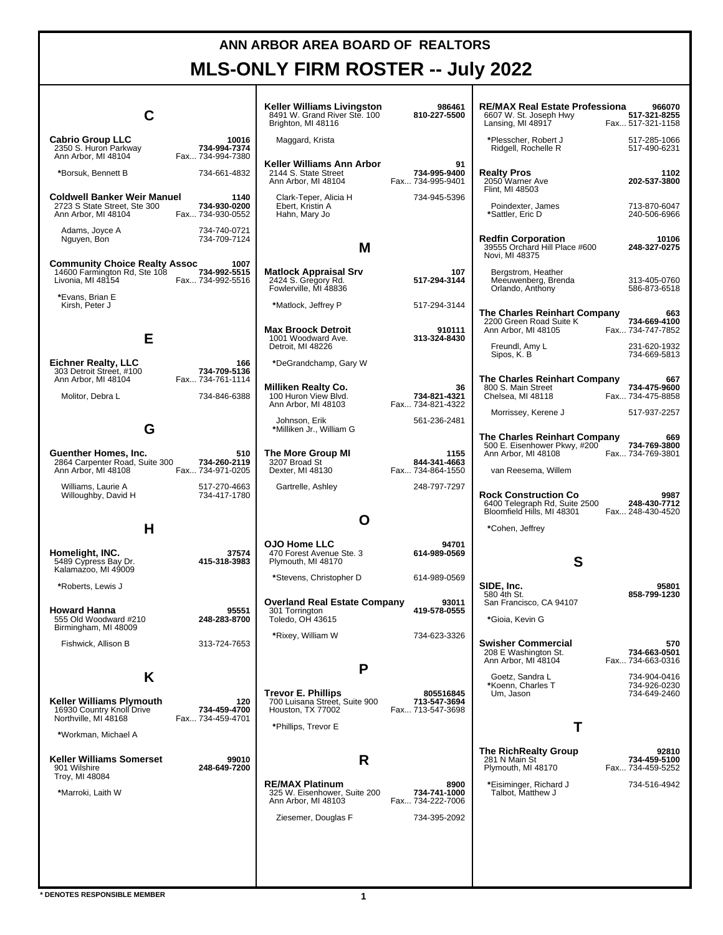## **ANN ARBOR AREA BOARD OF REALTORS MLS-ONLY FIRM ROSTER -- July 2022**

|                                                                                           |                                           | Keller Williams Livingston<br>8491 W. Grand River Ste. 100<br>Brighton, MI 48116 | 986461<br>810-227-5500                        | <b>RE/MAX Real Estate Professiona</b><br>6607 W. St. Joseph Hwy<br>Lansing, MI 48917                       | 966070<br>517-321-8255<br>Fax 517-321-1158       |
|-------------------------------------------------------------------------------------------|-------------------------------------------|----------------------------------------------------------------------------------|-----------------------------------------------|------------------------------------------------------------------------------------------------------------|--------------------------------------------------|
| <b>Cabrio Group LLC</b><br>2350 S. Huron Parkway<br>Ann Arbor, MI 48104                   | 10016<br>734-994-7374<br>Fax 734-994-7380 | Maggard, Krista                                                                  |                                               | *Plesscher, Robert J<br>Ridgell, Rochelle R                                                                | 517-285-1066<br>517-490-6231                     |
| *Borsuk, Bennett B                                                                        | 734-661-4832                              | Keller Williams Ann Arbor<br>2144 S. State Street<br>Ann Arbor, MI 48104         | 91<br>734-995-9400<br>Fax 734-995-9401        | <b>Realty Pros</b><br>2050 Warner Ave<br>Flint, MI 48503                                                   | 1102<br>202-537-3800                             |
| Coldwell Banker Weir Manuel<br>2723 S State Street, Ste 300<br>Ann Arbor, MI 48104        | 1140<br>734-930-0200<br>Fax 734-930-0552  | Clark-Teper, Alicia H<br>Ebert, Kristin A<br>Hahn, Mary Jo                       | 734-945-5396                                  | Poindexter, James<br>*Sattler, Eric D                                                                      | 713-870-6047<br>240-506-6966                     |
| 734-740-0721<br>Adams, Joyce A<br>734-709-7124<br>Nguyen, Bon                             |                                           | М                                                                                |                                               | <b>Redfin Corporation</b><br>39555 Orchard Hill Place #600<br>Novi, MI 48375                               | 10106<br>248-327-0275                            |
| <b>Community Choice Realty Assoc</b><br>14600 Farmington Rd, Ste 108<br>Livonia, MI 48154 | 1007<br>734-992-5515<br>Fax 734-992-5516  | <b>Matlock Appraisal Srv</b><br>2424 S. Gregory Rd.<br>Fowlerville, MI 48836     | 107<br>517-294-3144                           | Bergstrom, Heather<br>Meeuwenberg, Brenda<br>Orlando, Anthony                                              | 313-405-0760<br>586-873-6518                     |
| *Evans, Brian E<br>Kirsh, Peter J                                                         |                                           | *Matlock, Jeffrey P                                                              | 517-294-3144                                  | The Charles Reinhart Company                                                                               | 663                                              |
| Е                                                                                         |                                           | <b>Max Broock Detroit</b><br>1001 Woodward Ave.<br>Detroit, MI 48226             | 910111<br>313-324-8430                        | 2200 Green Road Suite K<br>Ann Arbor. MI 48105<br>Freundl, Amy L                                           | 734-669-4100<br>Fax 734-747-7852<br>231-620-1932 |
| Eichner Realty, LLC<br>303 Detroit Street, #100                                           | 166<br>734-709-5136                       | *DeGrandchamp, Gary W                                                            |                                               | Sipos, K. B.                                                                                               | 734-669-5813                                     |
| Ann Arbor, MI 48104<br>Molitor, Debra L                                                   | Fax 734-761-1114<br>734-846-6388          | <b>Milliken Realty Co.</b><br>100 Huron View Blvd.<br>Ann Arbor, MI 48103        | 36<br>734-821-4321<br>Fax 734-821-4322        | The Charles Reinhart Company<br>800 S. Main Street<br>Chelsea, MI 48118                                    | 667<br>734-475-9600<br>Fax 734-475-8858          |
| G                                                                                         |                                           | Johnson, Erik<br>*Milliken Jr., William G                                        | 561-236-2481                                  | Morrissey, Kerene J                                                                                        | 517-937-2257                                     |
| Guenther Homes, Inc.<br>2864 Carpenter Road, Suite 300<br>Ann Arbor, MI 48108             | 510<br>734-260-2119<br>Fax 734-971-0205   | The More Group MI<br>3207 Broad St<br>Dexter, MI 48130                           | 1155<br>844-341-4663<br>Fax 734-864-1550      | The Charles Reinhart Company<br>500 E. Eisenhower Pkwy, #200<br>Ann Arbor, MI 48108<br>van Reesema, Willem | 669<br>734-769-3800<br>Fax 734-769-3801          |
| Williams, Laurie A<br>Willoughby, David H                                                 | 517-270-4663<br>734-417-1780              | Gartrelle, Ashley                                                                | 248-797-7297                                  | <b>Rock Construction Co.</b><br>6400 Telegraph Rd, Suite 2500                                              | 9987<br>248-430-7712                             |
| Н                                                                                         |                                           | O                                                                                |                                               | Bloomfield Hills, MI 48301<br>Fax 248-430-4520<br>*Cohen, Jeffrey                                          |                                                  |
| Homelight, INC.<br>5489 Cypress Bay Dr.                                                   | 37574<br>415-318-3983                     | <b>OJO Home LLC</b><br>470 Forest Avenue Ste. 3<br>Plymouth, MI 48170            | 94701<br>614-989-0569                         | S                                                                                                          |                                                  |
| Kalamazoo, MI 49009<br>*Roberts, Lewis J                                                  |                                           | *Stevens, Christopher D                                                          | 614-989-0569                                  | SIDE, Inc.<br>580 4th St.                                                                                  | 95801<br>858-799-1230                            |
| <b>Howard Hanna</b><br>555 Old Woodward #210<br>Birmingham, MI 48009                      | 95551<br>248-283-8700                     | <b>Overland Real Estate Company</b><br>301 Torrington<br>Toledo, OH 43615        | 93011<br>419-578-0555                         | San Francisco, CA 94107<br>*Gioia, Kevin G                                                                 |                                                  |
| Fishwick, Allison B                                                                       | 313-724-7653                              | *Rixey, William W                                                                | 734-623-3326                                  | <b>Swisher Commercial</b><br>208 E Washington St.<br>Ann Arbor, MI 48104                                   | 570<br>734-663-0501<br>Fax 734-663-0316          |
| K                                                                                         |                                           | P                                                                                |                                               | Goetz, Sandra L<br>*Koenn, Charles T                                                                       | 734-904-0416<br>734-926-0230                     |
| <b>Keller Williams Plymouth</b><br>16930 Country Knoll Drive<br>Northville, MI 48168      | 120<br>734-459-4700<br>Fax 734-459-4701   | <b>Trevor E. Phillips</b><br>700 Luisana Street, Suite 900<br>Houston, TX 77002  | 805516845<br>713-547-3694<br>Fax 713-547-3698 | Um, Jason                                                                                                  | 734-649-2460                                     |
| *Workman, Michael A                                                                       |                                           | *Phillips, Trevor E                                                              |                                               | т                                                                                                          |                                                  |
| <b>Keller Williams Somerset</b><br>901 Wilshire<br>Troy, MI 48084                         | 99010<br>248-649-7200                     | R                                                                                |                                               | The RichRealty Group<br>281 N Main St<br>Plymouth, MI 48170                                                | 92810<br>734-459-5100<br>Fax 734-459-5252        |
| *Marroki, Laith W                                                                         |                                           | <b>RE/MAX Platinum</b><br>325 W. Eisenhower, Suite 200<br>Ann Arbor, MI 48103    | 8900<br>734-741-1000<br>Fax 734-222-7006      | *Eisiminger, Richard J<br>Talbot, Matthew J                                                                | 734-516-4942                                     |
|                                                                                           |                                           | Ziesemer, Douglas F                                                              | 734-395-2092                                  |                                                                                                            |                                                  |
|                                                                                           |                                           |                                                                                  |                                               |                                                                                                            |                                                  |